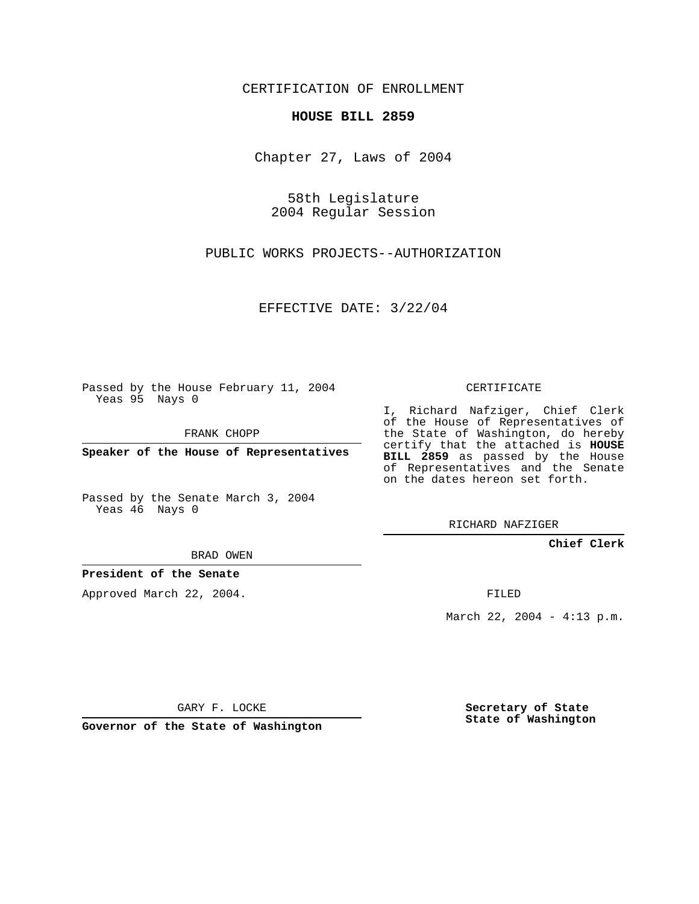CERTIFICATION OF ENROLLMENT

## **HOUSE BILL 2859**

Chapter 27, Laws of 2004

58th Legislature 2004 Regular Session

PUBLIC WORKS PROJECTS--AUTHORIZATION

EFFECTIVE DATE: 3/22/04

Passed by the House February 11, 2004 Yeas 95 Nays 0

FRANK CHOPP

**Speaker of the House of Representatives**

Passed by the Senate March 3, 2004 Yeas 46 Nays 0

BRAD OWEN

## **President of the Senate**

Approved March 22, 2004.

CERTIFICATE

I, Richard Nafziger, Chief Clerk of the House of Representatives of the State of Washington, do hereby certify that the attached is **HOUSE BILL 2859** as passed by the House of Representatives and the Senate on the dates hereon set forth.

RICHARD NAFZIGER

**Chief Clerk**

FILED

March 22, 2004 - 4:13 p.m.

GARY F. LOCKE

**Governor of the State of Washington**

**Secretary of State State of Washington**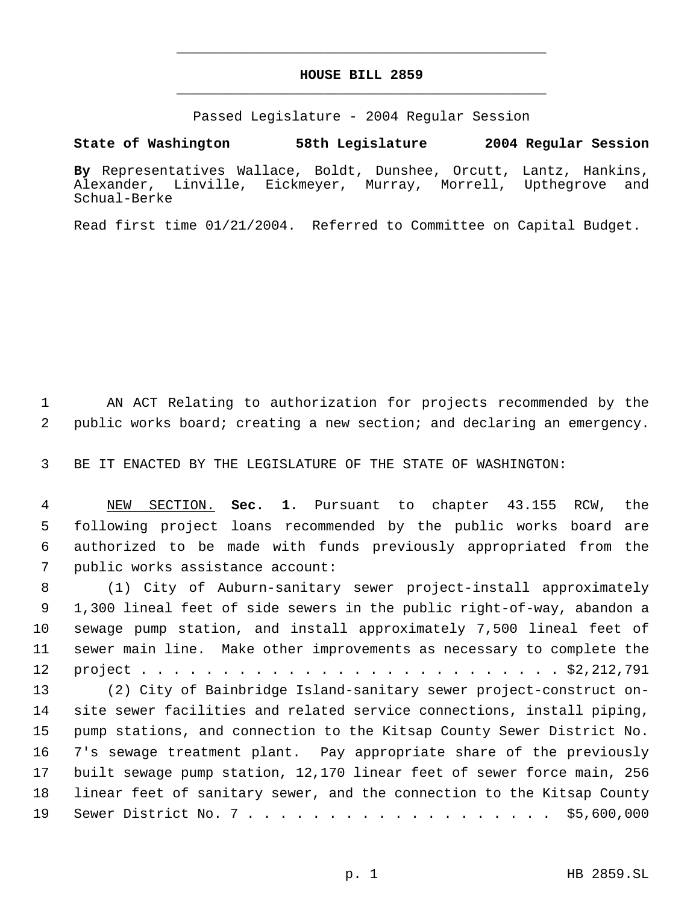## **HOUSE BILL 2859** \_\_\_\_\_\_\_\_\_\_\_\_\_\_\_\_\_\_\_\_\_\_\_\_\_\_\_\_\_\_\_\_\_\_\_\_\_\_\_\_\_\_\_\_\_

\_\_\_\_\_\_\_\_\_\_\_\_\_\_\_\_\_\_\_\_\_\_\_\_\_\_\_\_\_\_\_\_\_\_\_\_\_\_\_\_\_\_\_\_\_

Passed Legislature - 2004 Regular Session

**State of Washington 58th Legislature 2004 Regular Session**

**By** Representatives Wallace, Boldt, Dunshee, Orcutt, Lantz, Hankins, Alexander, Linville, Eickmeyer, Murray, Morrell, Upthegrove and Schual-Berke

Read first time 01/21/2004. Referred to Committee on Capital Budget.

 AN ACT Relating to authorization for projects recommended by the public works board; creating a new section; and declaring an emergency.

BE IT ENACTED BY THE LEGISLATURE OF THE STATE OF WASHINGTON:

 NEW SECTION. **Sec. 1.** Pursuant to chapter 43.155 RCW, the following project loans recommended by the public works board are authorized to be made with funds previously appropriated from the public works assistance account:

 (1) City of Auburn-sanitary sewer project-install approximately 1,300 lineal feet of side sewers in the public right-of-way, abandon a sewage pump station, and install approximately 7,500 lineal feet of sewer main line. Make other improvements as necessary to complete the project . . . . . . . . . . . . . . . . . . . . . . . . . . \$2,212,791 (2) City of Bainbridge Island-sanitary sewer project-construct on- site sewer facilities and related service connections, install piping, pump stations, and connection to the Kitsap County Sewer District No.

 7's sewage treatment plant. Pay appropriate share of the previously built sewage pump station, 12,170 linear feet of sewer force main, 256 linear feet of sanitary sewer, and the connection to the Kitsap County Sewer District No. 7 . . . . . . . . . . . . . . . . . . . \$5,600,000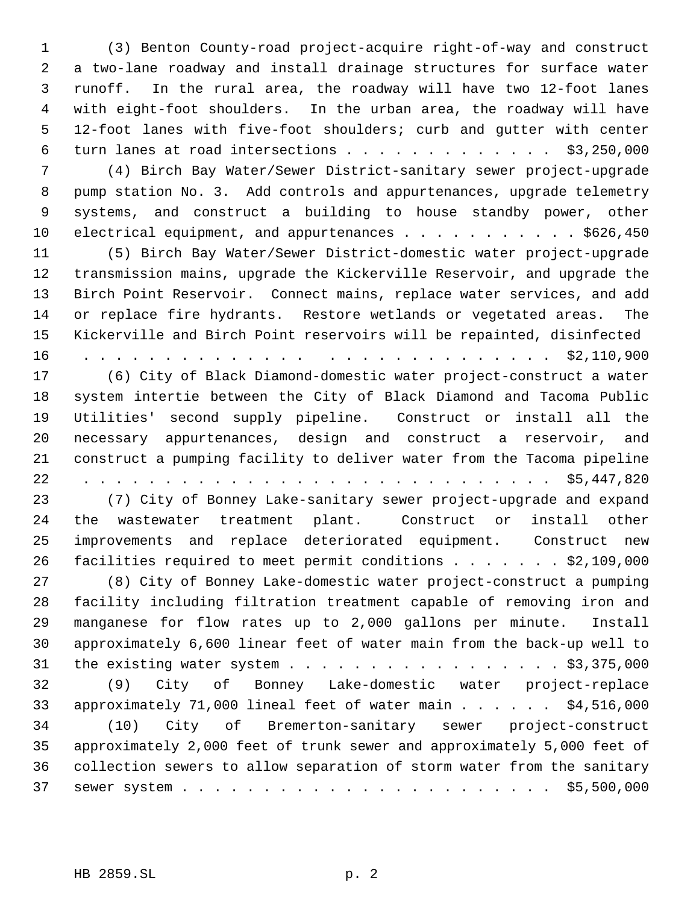(3) Benton County-road project-acquire right-of-way and construct a two-lane roadway and install drainage structures for surface water runoff. In the rural area, the roadway will have two 12-foot lanes with eight-foot shoulders. In the urban area, the roadway will have 12-foot lanes with five-foot shoulders; curb and gutter with center 6 turn lanes at road intersections . . . . . . . . . . . . \$3,250,000 (4) Birch Bay Water/Sewer District-sanitary sewer project-upgrade pump station No. 3. Add controls and appurtenances, upgrade telemetry systems, and construct a building to house standby power, other 10 electrical equipment, and appurtenances . . . . . . . . . . \$626,450 (5) Birch Bay Water/Sewer District-domestic water project-upgrade transmission mains, upgrade the Kickerville Reservoir, and upgrade the Birch Point Reservoir. Connect mains, replace water services, and add or replace fire hydrants. Restore wetlands or vegetated areas. The Kickerville and Birch Point reservoirs will be repainted, disinfected 16 . . . . . . . . . . . . . . . . . . . . . . . . . . . . \$2,110,900 (6) City of Black Diamond-domestic water project-construct a water system intertie between the City of Black Diamond and Tacoma Public Utilities' second supply pipeline. Construct or install all the necessary appurtenances, design and construct a reservoir, and construct a pumping facility to deliver water from the Tacoma pipeline 22 . . . . . . . . . . . . . . . . . . . . . . . . . . . . . \$5,447,820 (7) City of Bonney Lake-sanitary sewer project-upgrade and expand the wastewater treatment plant. Construct or install other improvements and replace deteriorated equipment. Construct new facilities required to meet permit conditions . . . . . . . \$2,109,000 (8) City of Bonney Lake-domestic water project-construct a pumping facility including filtration treatment capable of removing iron and manganese for flow rates up to 2,000 gallons per minute. Install approximately 6,600 linear feet of water main from the back-up well to the existing water system . . . . . . . . . . . . . . . . . \$3,375,000 (9) City of Bonney Lake-domestic water project-replace approximately 71,000 lineal feet of water main . . . . . . \$4,516,000 (10) City of Bremerton-sanitary sewer project-construct approximately 2,000 feet of trunk sewer and approximately 5,000 feet of collection sewers to allow separation of storm water from the sanitary sewer system . . . . . . . . . . . . . . . . . . . . . . . \$5,500,000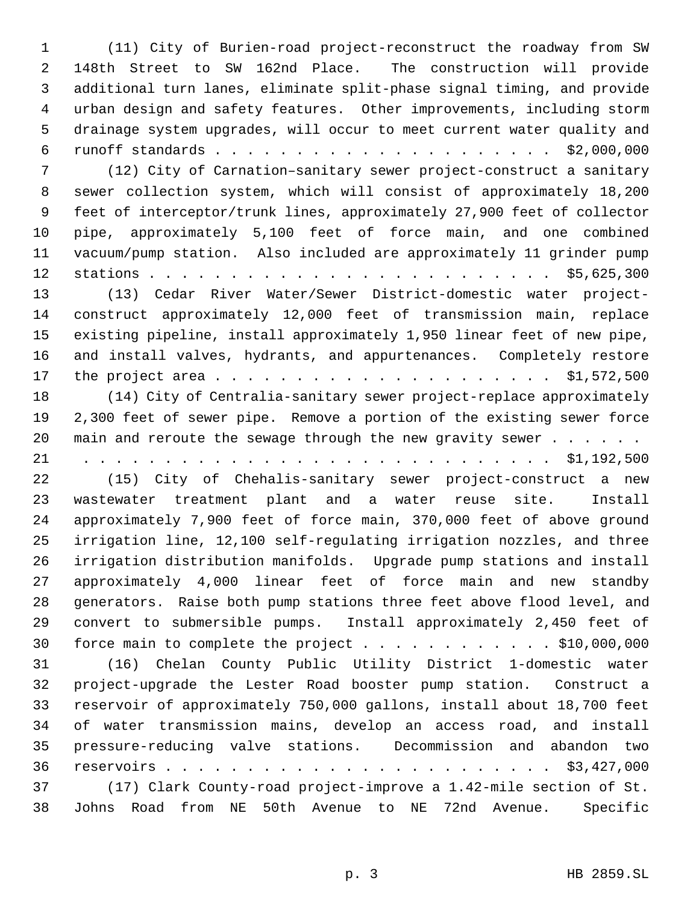(11) City of Burien-road project-reconstruct the roadway from SW 148th Street to SW 162nd Place. The construction will provide additional turn lanes, eliminate split-phase signal timing, and provide urban design and safety features. Other improvements, including storm drainage system upgrades, will occur to meet current water quality and runoff standards . . . . . . . . . . . . . . . . . . . . . \$2,000,000 (12) City of Carnation–sanitary sewer project-construct a sanitary sewer collection system, which will consist of approximately 18,200 feet of interceptor/trunk lines, approximately 27,900 feet of collector pipe, approximately 5,100 feet of force main, and one combined vacuum/pump station. Also included are approximately 11 grinder pump stations . . . . . . . . . . . . . . . . . . . . . . . . . \$5,625,300 (13) Cedar River Water/Sewer District-domestic water project- construct approximately 12,000 feet of transmission main, replace existing pipeline, install approximately 1,950 linear feet of new pipe, and install valves, hydrants, and appurtenances. Completely restore the project area . . . . . . . . . . . . . . . . . . . . . \$1,572,500 (14) City of Centralia-sanitary sewer project-replace approximately 2,300 feet of sewer pipe. Remove a portion of the existing sewer force 20 main and reroute the sewage through the new gravity sewer . . . . . . 21 . . . . . . . . . . . . . . . . . . . . . . . . . . . . . \$1,192,500 (15) City of Chehalis-sanitary sewer project-construct a new wastewater treatment plant and a water reuse site. Install approximately 7,900 feet of force main, 370,000 feet of above ground irrigation line, 12,100 self-regulating irrigation nozzles, and three irrigation distribution manifolds. Upgrade pump stations and install approximately 4,000 linear feet of force main and new standby generators. Raise both pump stations three feet above flood level, and convert to submersible pumps. Install approximately 2,450 feet of 30 force main to complete the project  $\ldots$  . . . . . . . . . \$10,000,000 (16) Chelan County Public Utility District 1-domestic water project-upgrade the Lester Road booster pump station. Construct a reservoir of approximately 750,000 gallons, install about 18,700 feet of water transmission mains, develop an access road, and install pressure-reducing valve stations. Decommission and abandon two reservoirs . . . . . . . . . . . . . . . . . . . . . . . . \$3,427,000 (17) Clark County-road project-improve a 1.42-mile section of St. Johns Road from NE 50th Avenue to NE 72nd Avenue. Specific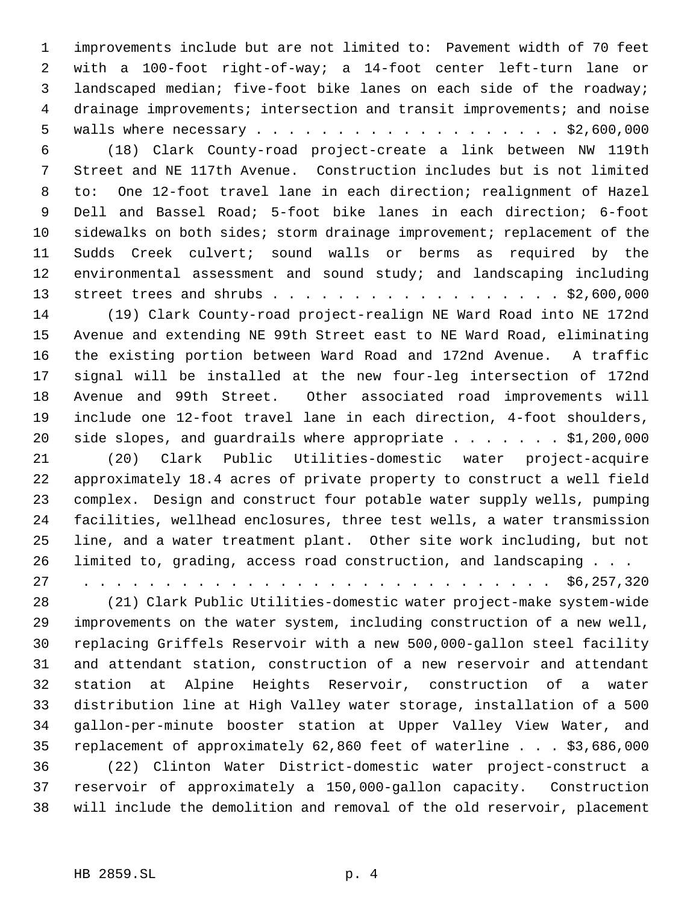improvements include but are not limited to: Pavement width of 70 feet with a 100-foot right-of-way; a 14-foot center left-turn lane or landscaped median; five-foot bike lanes on each side of the roadway; drainage improvements; intersection and transit improvements; and noise walls where necessary . . . . . . . . . . . . . . . . . . . \$2,600,000

 (18) Clark County-road project-create a link between NW 119th Street and NE 117th Avenue. Construction includes but is not limited to: One 12-foot travel lane in each direction; realignment of Hazel Dell and Bassel Road; 5-foot bike lanes in each direction; 6-foot sidewalks on both sides; storm drainage improvement; replacement of the Sudds Creek culvert; sound walls or berms as required by the environmental assessment and sound study; and landscaping including 13 street trees and shrubs . . . . . . . . . . . . . . . . . . \$2,600,000

 (19) Clark County-road project-realign NE Ward Road into NE 172nd Avenue and extending NE 99th Street east to NE Ward Road, eliminating the existing portion between Ward Road and 172nd Avenue. A traffic signal will be installed at the new four-leg intersection of 172nd Avenue and 99th Street. Other associated road improvements will include one 12-foot travel lane in each direction, 4-foot shoulders, 20 side slopes, and guardrails where appropriate . . . . . . \$1,200,000

 (20) Clark Public Utilities-domestic water project-acquire approximately 18.4 acres of private property to construct a well field complex. Design and construct four potable water supply wells, pumping facilities, wellhead enclosures, three test wells, a water transmission line, and a water treatment plant. Other site work including, but not limited to, grading, access road construction, and landscaping . . . 27 . . . . . . . . . . . . . . . . . . . . . . . . . . . . . \$6,257,320

 (21) Clark Public Utilities-domestic water project-make system-wide improvements on the water system, including construction of a new well, replacing Griffels Reservoir with a new 500,000-gallon steel facility and attendant station, construction of a new reservoir and attendant station at Alpine Heights Reservoir, construction of a water distribution line at High Valley water storage, installation of a 500 gallon-per-minute booster station at Upper Valley View Water, and replacement of approximately 62,860 feet of waterline . . . \$3,686,000 (22) Clinton Water District-domestic water project-construct a reservoir of approximately a 150,000-gallon capacity. Construction will include the demolition and removal of the old reservoir, placement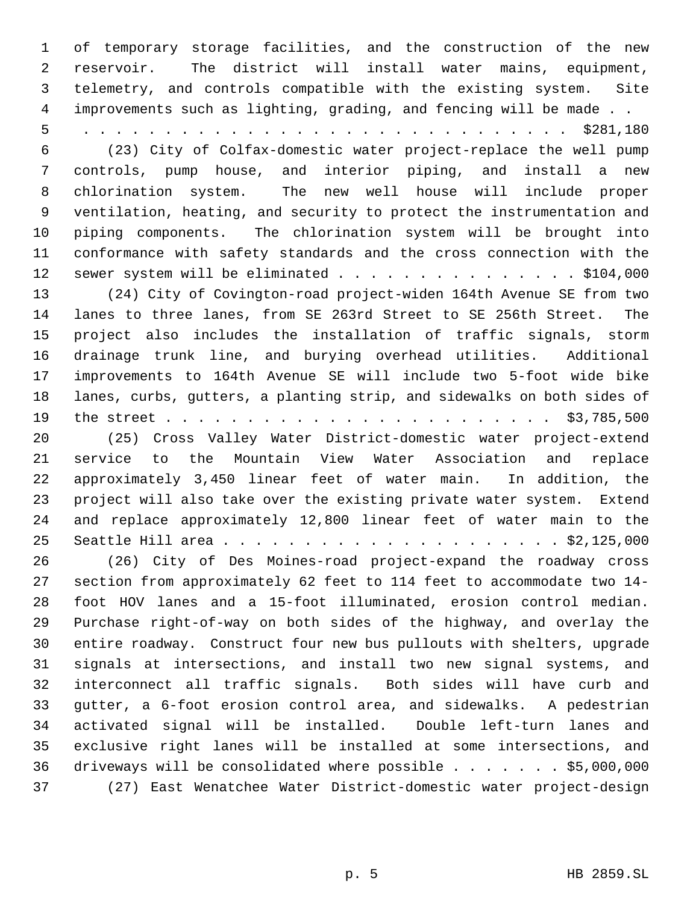of temporary storage facilities, and the construction of the new reservoir. The district will install water mains, equipment, telemetry, and controls compatible with the existing system. Site improvements such as lighting, grading, and fencing will be made . . 5 . . . . . . . . . . . . . . . . . . . . . . . . . . . . . . \$281,180 (23) City of Colfax-domestic water project-replace the well pump controls, pump house, and interior piping, and install a new chlorination system. The new well house will include proper ventilation, heating, and security to protect the instrumentation and piping components. The chlorination system will be brought into conformance with safety standards and the cross connection with the 12 sewer system will be eliminated . . . . . . . . . . . . . . . \$104,000 (24) City of Covington-road project-widen 164th Avenue SE from two lanes to three lanes, from SE 263rd Street to SE 256th Street. The project also includes the installation of traffic signals, storm drainage trunk line, and burying overhead utilities. Additional improvements to 164th Avenue SE will include two 5-foot wide bike lanes, curbs, gutters, a planting strip, and sidewalks on both sides of the street . . . . . . . . . . . . . . . . . . . . . . . . \$3,785,500 (25) Cross Valley Water District-domestic water project-extend service to the Mountain View Water Association and replace approximately 3,450 linear feet of water main. In addition, the project will also take over the existing private water system. Extend and replace approximately 12,800 linear feet of water main to the Seattle Hill area . . . . . . . . . . . . . . . . . . . . . \$2,125,000 (26) City of Des Moines-road project-expand the roadway cross section from approximately 62 feet to 114 feet to accommodate two 14- foot HOV lanes and a 15-foot illuminated, erosion control median. Purchase right-of-way on both sides of the highway, and overlay the entire roadway. Construct four new bus pullouts with shelters, upgrade signals at intersections, and install two new signal systems, and interconnect all traffic signals. Both sides will have curb and gutter, a 6-foot erosion control area, and sidewalks. A pedestrian activated signal will be installed. Double left-turn lanes and exclusive right lanes will be installed at some intersections, and

 driveways will be consolidated where possible . . . . . . . \$5,000,000 (27) East Wenatchee Water District-domestic water project-design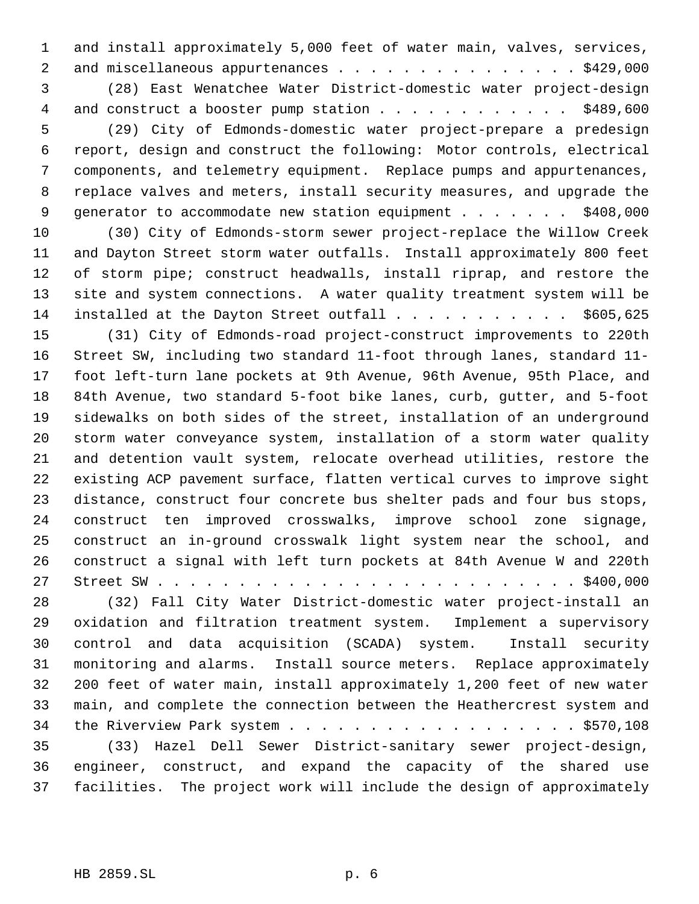and install approximately 5,000 feet of water main, valves, services, 2 and miscellaneous appurtenances . . . . . . . . . . . . . . . \$429,000 (28) East Wenatchee Water District-domestic water project-design 4 and construct a booster pump station . . . . . . . . . . . . \$489,600 (29) City of Edmonds-domestic water project-prepare a predesign report, design and construct the following: Motor controls, electrical components, and telemetry equipment. Replace pumps and appurtenances, replace valves and meters, install security measures, and upgrade the 9 generator to accommodate new station equipment . . . . . . . \$408,000 (30) City of Edmonds-storm sewer project-replace the Willow Creek and Dayton Street storm water outfalls. Install approximately 800 feet of storm pipe; construct headwalls, install riprap, and restore the site and system connections. A water quality treatment system will be 14 installed at the Dayton Street outfall . . . . . . . . . . \$605,625

 (31) City of Edmonds-road project-construct improvements to 220th Street SW, including two standard 11-foot through lanes, standard 11- foot left-turn lane pockets at 9th Avenue, 96th Avenue, 95th Place, and 84th Avenue, two standard 5-foot bike lanes, curb, gutter, and 5-foot sidewalks on both sides of the street, installation of an underground storm water conveyance system, installation of a storm water quality and detention vault system, relocate overhead utilities, restore the existing ACP pavement surface, flatten vertical curves to improve sight distance, construct four concrete bus shelter pads and four bus stops, construct ten improved crosswalks, improve school zone signage, construct an in-ground crosswalk light system near the school, and construct a signal with left turn pockets at 84th Avenue W and 220th Street SW . . . . . . . . . . . . . . . . . . . . . . . . . . \$400,000

 (32) Fall City Water District-domestic water project-install an oxidation and filtration treatment system. Implement a supervisory control and data acquisition (SCADA) system. Install security monitoring and alarms. Install source meters. Replace approximately 200 feet of water main, install approximately 1,200 feet of new water main, and complete the connection between the Heathercrest system and 34 the Riverview Park system . . . . . . . . . . . . . . . . . . \$570,108

 (33) Hazel Dell Sewer District-sanitary sewer project-design, engineer, construct, and expand the capacity of the shared use facilities. The project work will include the design of approximately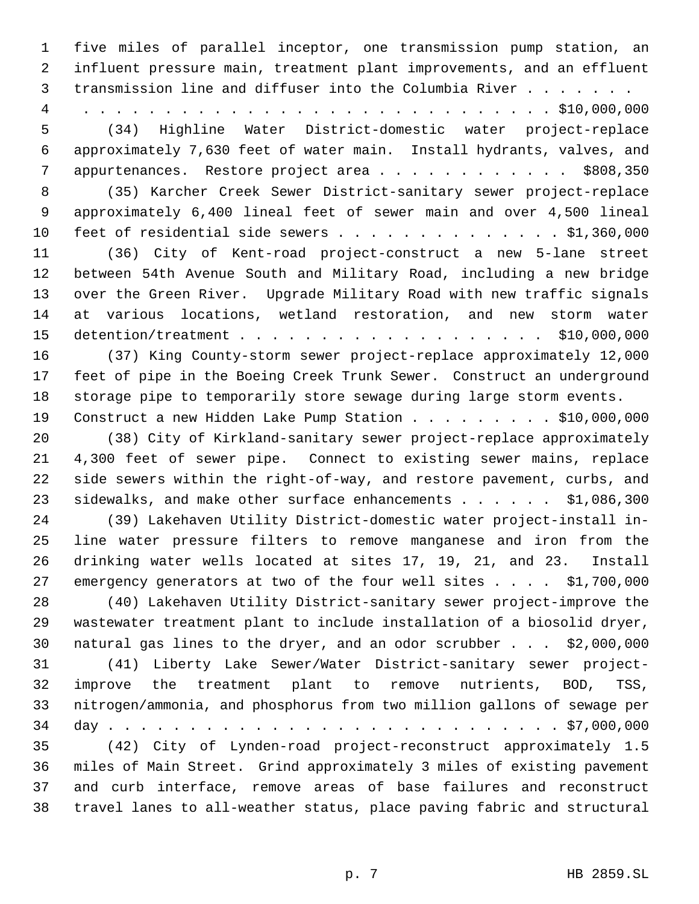five miles of parallel inceptor, one transmission pump station, an influent pressure main, treatment plant improvements, and an effluent 3 transmission line and diffuser into the Columbia River . . . . . . . 4 . . . . . . . . . . . . . . . . . . . . . . . . . . . . . \$10,000,000 (34) Highline Water District-domestic water project-replace approximately 7,630 feet of water main. Install hydrants, valves, and appurtenances. Restore project area . . . . . . . . . . . . \$808,350 (35) Karcher Creek Sewer District-sanitary sewer project-replace approximately 6,400 lineal feet of sewer main and over 4,500 lineal feet of residential side sewers . . . . . . . . . . . . . . \$1,360,000 (36) City of Kent-road project-construct a new 5-lane street between 54th Avenue South and Military Road, including a new bridge over the Green River. Upgrade Military Road with new traffic signals at various locations, wetland restoration, and new storm water detention/treatment . . . . . . . . . . . . . . . . . . . \$10,000,000 (37) King County-storm sewer project-replace approximately 12,000 feet of pipe in the Boeing Creek Trunk Sewer. Construct an underground storage pipe to temporarily store sewage during large storm events. 19 Construct a new Hidden Lake Pump Station . . . . . . . . \$10,000,000 (38) City of Kirkland-sanitary sewer project-replace approximately 4,300 feet of sewer pipe. Connect to existing sewer mains, replace side sewers within the right-of-way, and restore pavement, curbs, and 23 sidewalks, and make other surface enhancements . . . . . . \$1,086,300 (39) Lakehaven Utility District-domestic water project-install in- line water pressure filters to remove manganese and iron from the drinking water wells located at sites 17, 19, 21, and 23. Install 27 emergency generators at two of the four well sites . . . . \$1,700,000 (40) Lakehaven Utility District-sanitary sewer project-improve the wastewater treatment plant to include installation of a biosolid dryer, natural gas lines to the dryer, and an odor scrubber . . . \$2,000,000 (41) Liberty Lake Sewer/Water District-sanitary sewer project- improve the treatment plant to remove nutrients, BOD, TSS, nitrogen/ammonia, and phosphorus from two million gallons of sewage per day . . . . . . . . . . . . . . . . . . . . . . . . . . . . \$7,000,000 (42) City of Lynden-road project-reconstruct approximately 1.5 miles of Main Street. Grind approximately 3 miles of existing pavement and curb interface, remove areas of base failures and reconstruct travel lanes to all-weather status, place paving fabric and structural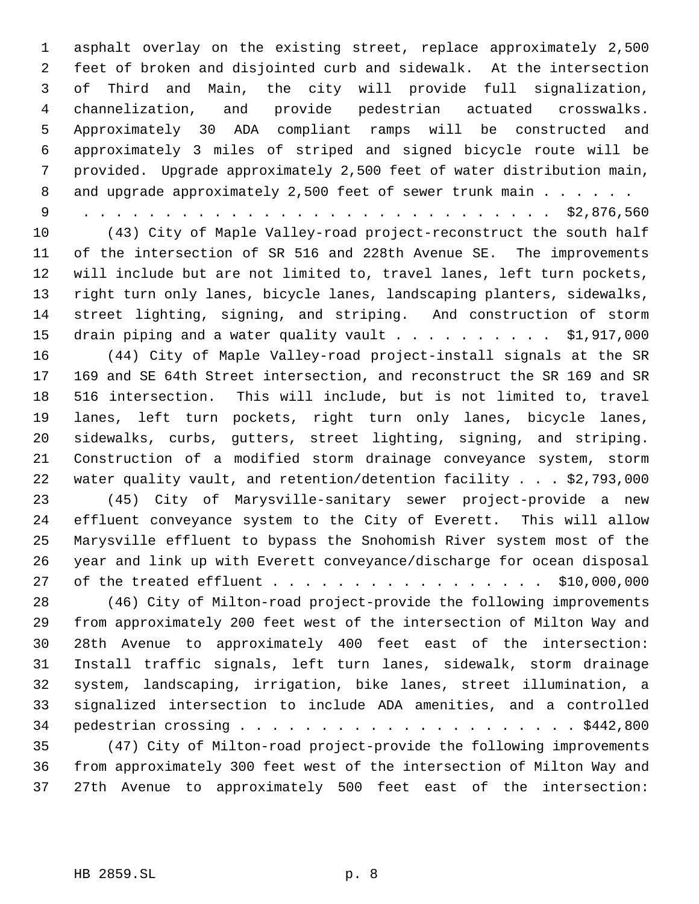asphalt overlay on the existing street, replace approximately 2,500 feet of broken and disjointed curb and sidewalk. At the intersection of Third and Main, the city will provide full signalization, channelization, and provide pedestrian actuated crosswalks. Approximately 30 ADA compliant ramps will be constructed and approximately 3 miles of striped and signed bicycle route will be provided. Upgrade approximately 2,500 feet of water distribution main, 8 and upgrade approximately 2,500 feet of sewer trunk main . . . . . .

9 . . . . . . . . . . . . . . . . . . . . . . . . . . . . . \$2,876,560

 (43) City of Maple Valley-road project-reconstruct the south half of the intersection of SR 516 and 228th Avenue SE. The improvements will include but are not limited to, travel lanes, left turn pockets, right turn only lanes, bicycle lanes, landscaping planters, sidewalks, street lighting, signing, and striping. And construction of storm 15 drain piping and a water quality vault . . . . . . . . . \$1,917,000 (44) City of Maple Valley-road project-install signals at the SR 169 and SE 64th Street intersection, and reconstruct the SR 169 and SR 516 intersection. This will include, but is not limited to, travel lanes, left turn pockets, right turn only lanes, bicycle lanes, sidewalks, curbs, gutters, street lighting, signing, and striping. Construction of a modified storm drainage conveyance system, storm water quality vault, and retention/detention facility . . . \$2,793,000

 (45) City of Marysville-sanitary sewer project-provide a new effluent conveyance system to the City of Everett. This will allow Marysville effluent to bypass the Snohomish River system most of the year and link up with Everett conveyance/discharge for ocean disposal 27 of the treated effluent . . . . . . . . . . . . . . . . . \$10,000,000

 (46) City of Milton-road project-provide the following improvements from approximately 200 feet west of the intersection of Milton Way and 28th Avenue to approximately 400 feet east of the intersection: Install traffic signals, left turn lanes, sidewalk, storm drainage system, landscaping, irrigation, bike lanes, street illumination, a signalized intersection to include ADA amenities, and a controlled pedestrian crossing . . . . . . . . . . . . . . . . . . . . . \$442,800

 (47) City of Milton-road project-provide the following improvements from approximately 300 feet west of the intersection of Milton Way and 27th Avenue to approximately 500 feet east of the intersection: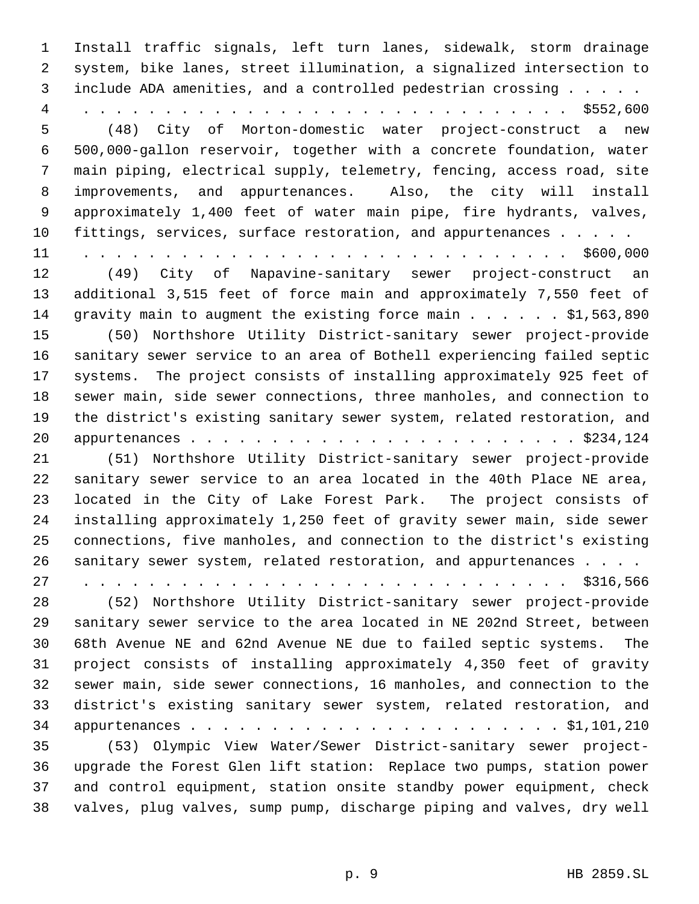Install traffic signals, left turn lanes, sidewalk, storm drainage system, bike lanes, street illumination, a signalized intersection to include ADA amenities, and a controlled pedestrian crossing . . . . . 4 . . . . . . . . . . . . . . . . . . . . . . . . . . . . . . \$552,600 (48) City of Morton-domestic water project-construct a new 500,000-gallon reservoir, together with a concrete foundation, water main piping, electrical supply, telemetry, fencing, access road, site improvements, and appurtenances. Also, the city will install approximately 1,400 feet of water main pipe, fire hydrants, valves, fittings, services, surface restoration, and appurtenances . . . . . 11 . . . . . . . . . . . . . . . . . . . . . . . . . . . . . . \$600,000 (49) City of Napavine-sanitary sewer project-construct an additional 3,515 feet of force main and approximately 7,550 feet of 14 gravity main to augment the existing force main . . . . . . \$1,563,890 (50) Northshore Utility District-sanitary sewer project-provide sanitary sewer service to an area of Bothell experiencing failed septic systems. The project consists of installing approximately 925 feet of sewer main, side sewer connections, three manholes, and connection to the district's existing sanitary sewer system, related restoration, and appurtenances . . . . . . . . . . . . . . . . . . . . . . . . \$234,124 (51) Northshore Utility District-sanitary sewer project-provide sanitary sewer service to an area located in the 40th Place NE area, located in the City of Lake Forest Park. The project consists of installing approximately 1,250 feet of gravity sewer main, side sewer connections, five manholes, and connection to the district's existing sanitary sewer system, related restoration, and appurtenances . . . . 27 . . . . . . . . . . . . . . . . . . . . . . . . . . . . . . \$316,566 (52) Northshore Utility District-sanitary sewer project-provide sanitary sewer service to the area located in NE 202nd Street, between 68th Avenue NE and 62nd Avenue NE due to failed septic systems. The project consists of installing approximately 4,350 feet of gravity sewer main, side sewer connections, 16 manholes, and connection to the district's existing sanitary sewer system, related restoration, and appurtenances . . . . . . . . . . . . . . . . . . . . . . . \$1,101,210 (53) Olympic View Water/Sewer District-sanitary sewer project- upgrade the Forest Glen lift station: Replace two pumps, station power and control equipment, station onsite standby power equipment, check valves, plug valves, sump pump, discharge piping and valves, dry well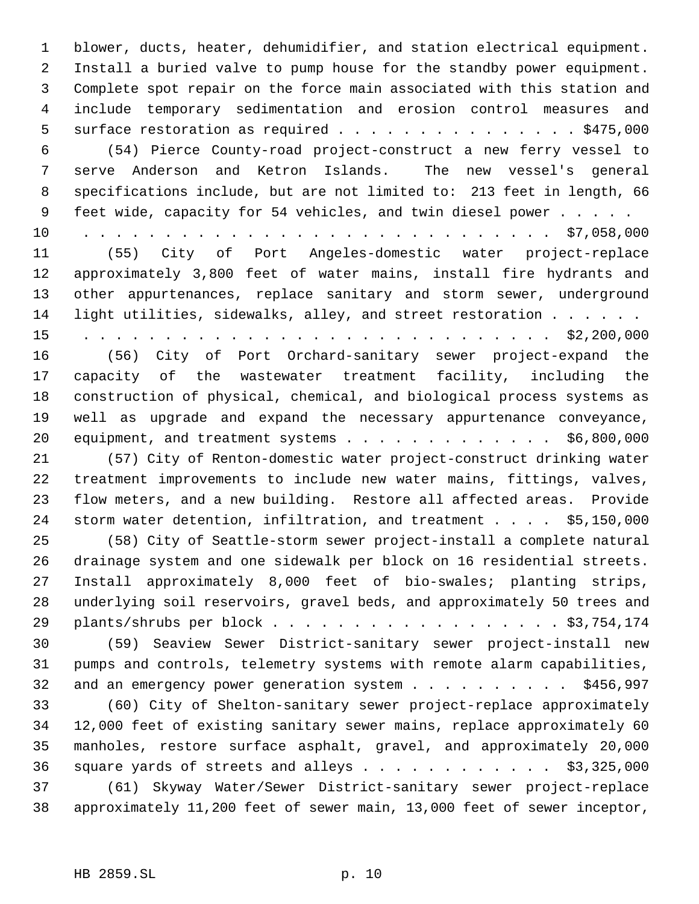blower, ducts, heater, dehumidifier, and station electrical equipment. Install a buried valve to pump house for the standby power equipment. Complete spot repair on the force main associated with this station and include temporary sedimentation and erosion control measures and 5 surface restoration as required  $\ldots$  . . . . . . . . . . . . . \$475,000 (54) Pierce County-road project-construct a new ferry vessel to serve Anderson and Ketron Islands. The new vessel's general specifications include, but are not limited to: 213 feet in length, 66 9 feet wide, capacity for 54 vehicles, and twin diesel power . . . . . 10 . . . . . . . . . . . . . . . . . . . . . . . . . . . . . \$7,058,000 (55) City of Port Angeles-domestic water project-replace approximately 3,800 feet of water mains, install fire hydrants and other appurtenances, replace sanitary and storm sewer, underground light utilities, sidewalks, alley, and street restoration . . . . . . 15 . . . . . . . . . . . . . . . . . . . . . . . . . . . . . \$2,200,000 (56) City of Port Orchard-sanitary sewer project-expand the capacity of the wastewater treatment facility, including the construction of physical, chemical, and biological process systems as well as upgrade and expand the necessary appurtenance conveyance, equipment, and treatment systems . . . . . . . . . . . . . \$6,800,000 (57) City of Renton-domestic water project-construct drinking water treatment improvements to include new water mains, fittings, valves, flow meters, and a new building. Restore all affected areas. Provide storm water detention, infiltration, and treatment . . . . \$5,150,000 (58) City of Seattle-storm sewer project-install a complete natural drainage system and one sidewalk per block on 16 residential streets. Install approximately 8,000 feet of bio-swales; planting strips, underlying soil reservoirs, gravel beds, and approximately 50 trees and plants/shrubs per block . . . . . . . . . . . . . . . . . . \$3,754,174 (59) Seaview Sewer District-sanitary sewer project-install new pumps and controls, telemetry systems with remote alarm capabilities, 32 and an emergency power generation system . . . . . . . . . . \$456,997 (60) City of Shelton-sanitary sewer project-replace approximately 12,000 feet of existing sanitary sewer mains, replace approximately 60 manholes, restore surface asphalt, gravel, and approximately 20,000 36 square yards of streets and alleys  $\ldots$  . . . . . . . . . \$3,325,000 (61) Skyway Water/Sewer District-sanitary sewer project-replace approximately 11,200 feet of sewer main, 13,000 feet of sewer inceptor,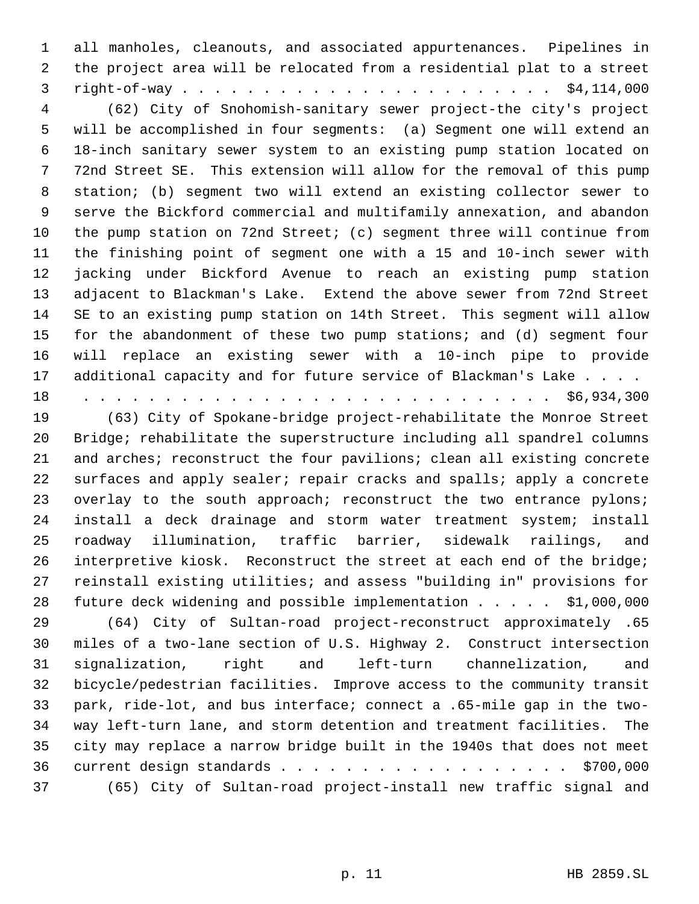all manholes, cleanouts, and associated appurtenances. Pipelines in the project area will be relocated from a residential plat to a street right-of-way . . . . . . . . . . . . . . . . . . . . . . . \$4,114,000

 (62) City of Snohomish-sanitary sewer project-the city's project will be accomplished in four segments: (a) Segment one will extend an 18-inch sanitary sewer system to an existing pump station located on 72nd Street SE. This extension will allow for the removal of this pump station; (b) segment two will extend an existing collector sewer to serve the Bickford commercial and multifamily annexation, and abandon the pump station on 72nd Street; (c) segment three will continue from the finishing point of segment one with a 15 and 10-inch sewer with jacking under Bickford Avenue to reach an existing pump station adjacent to Blackman's Lake. Extend the above sewer from 72nd Street SE to an existing pump station on 14th Street. This segment will allow for the abandonment of these two pump stations; and (d) segment four will replace an existing sewer with a 10-inch pipe to provide 17 additional capacity and for future service of Blackman's Lake . . . .

18 . . . . . . . . . . . . . . . . . . . . . . . . . . . . . \$6,934,300

 (63) City of Spokane-bridge project-rehabilitate the Monroe Street Bridge; rehabilitate the superstructure including all spandrel columns and arches; reconstruct the four pavilions; clean all existing concrete surfaces and apply sealer; repair cracks and spalls; apply a concrete 23 overlay to the south approach; reconstruct the two entrance pylons; install a deck drainage and storm water treatment system; install roadway illumination, traffic barrier, sidewalk railings, and interpretive kiosk. Reconstruct the street at each end of the bridge; reinstall existing utilities; and assess "building in" provisions for future deck widening and possible implementation . . . . . \$1,000,000 (64) City of Sultan-road project-reconstruct approximately .65

 miles of a two-lane section of U.S. Highway 2. Construct intersection signalization, right and left-turn channelization, and bicycle/pedestrian facilities. Improve access to the community transit park, ride-lot, and bus interface; connect a .65-mile gap in the two- way left-turn lane, and storm detention and treatment facilities. The city may replace a narrow bridge built in the 1940s that does not meet current design standards . . . . . . . . . . . . . . . . . . \$700,000 (65) City of Sultan-road project-install new traffic signal and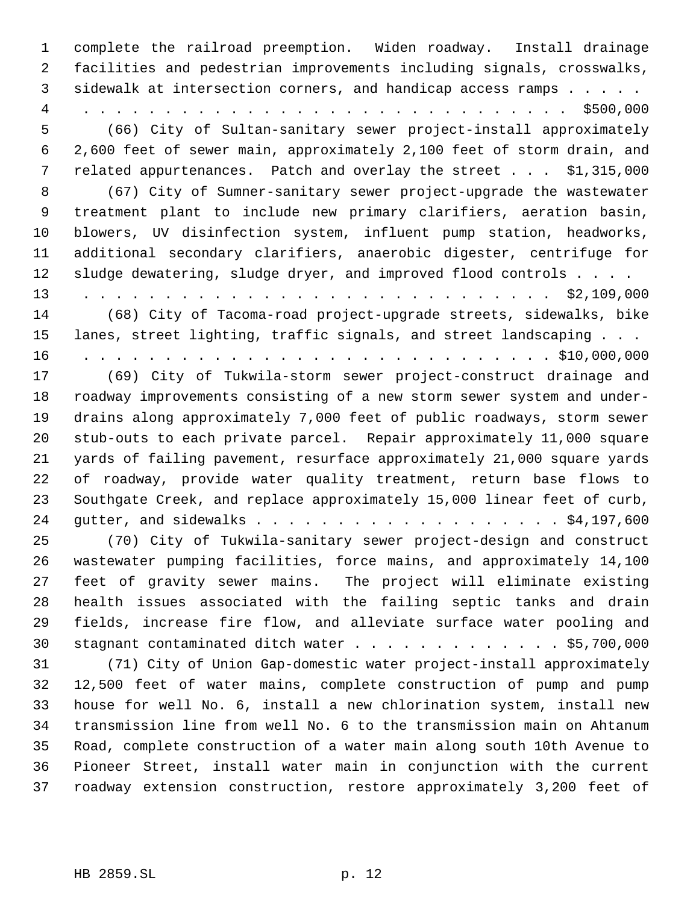complete the railroad preemption. Widen roadway. Install drainage facilities and pedestrian improvements including signals, crosswalks, sidewalk at intersection corners, and handicap access ramps . . . . . 4 . . . . . . . . . . . . . . . . . . . . . . . . . . . . . . \$500,000 (66) City of Sultan-sanitary sewer project-install approximately 2,600 feet of sewer main, approximately 2,100 feet of storm drain, and related appurtenances. Patch and overlay the street . . . \$1,315,000 (67) City of Sumner-sanitary sewer project-upgrade the wastewater treatment plant to include new primary clarifiers, aeration basin, blowers, UV disinfection system, influent pump station, headworks, additional secondary clarifiers, anaerobic digester, centrifuge for sludge dewatering, sludge dryer, and improved flood controls . . . . 13 . . . . . . . . . . . . . . . . . . . . . . . . . . . . . \$2,109,000 (68) City of Tacoma-road project-upgrade streets, sidewalks, bike lanes, street lighting, traffic signals, and street landscaping . . . 16 . . . . . . . . . . . . . . . . . . . . . . . . . . . . . \$10,000,000 (69) City of Tukwila-storm sewer project-construct drainage and roadway improvements consisting of a new storm sewer system and under- drains along approximately 7,000 feet of public roadways, storm sewer stub-outs to each private parcel. Repair approximately 11,000 square yards of failing pavement, resurface approximately 21,000 square yards of roadway, provide water quality treatment, return base flows to Southgate Creek, and replace approximately 15,000 linear feet of curb, gutter, and sidewalks . . . . . . . . . . . . . . . . . . . \$4,197,600 (70) City of Tukwila-sanitary sewer project-design and construct wastewater pumping facilities, force mains, and approximately 14,100 feet of gravity sewer mains. The project will eliminate existing health issues associated with the failing septic tanks and drain fields, increase fire flow, and alleviate surface water pooling and 30 stagnant contaminated ditch water . . . . . . . . . . . . . \$5,700,000 (71) City of Union Gap-domestic water project-install approximately 12,500 feet of water mains, complete construction of pump and pump house for well No. 6, install a new chlorination system, install new transmission line from well No. 6 to the transmission main on Ahtanum Road, complete construction of a water main along south 10th Avenue to Pioneer Street, install water main in conjunction with the current roadway extension construction, restore approximately 3,200 feet of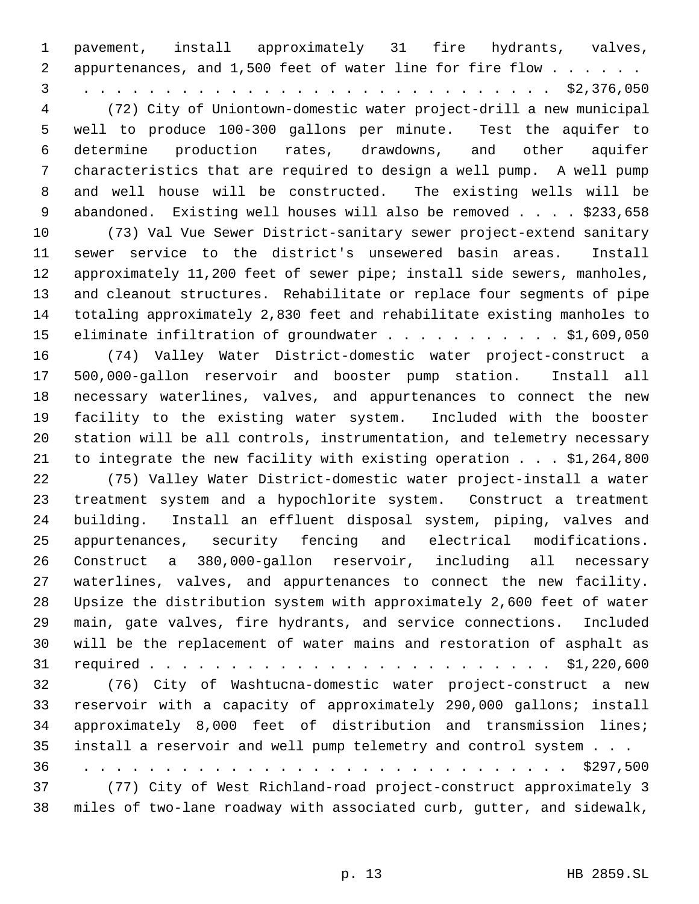pavement, install approximately 31 fire hydrants, valves, 2 appurtenances, and 1,500 feet of water line for fire flow . . . . . . 3 . . . . . . . . . . . . . . . . . . . . . . . . . . . . . \$2,376,050 (72) City of Uniontown-domestic water project-drill a new municipal well to produce 100-300 gallons per minute. Test the aquifer to determine production rates, drawdowns, and other aquifer characteristics that are required to design a well pump. A well pump and well house will be constructed. The existing wells will be 9 abandoned. Existing well houses will also be removed . . . . \$233,658 (73) Val Vue Sewer District-sanitary sewer project-extend sanitary sewer service to the district's unsewered basin areas. Install approximately 11,200 feet of sewer pipe; install side sewers, manholes, and cleanout structures. Rehabilitate or replace four segments of pipe totaling approximately 2,830 feet and rehabilitate existing manholes to 15 eliminate infiltration of groundwater . . . . . . . . . . . \$1,609,050 (74) Valley Water District-domestic water project-construct a 500,000-gallon reservoir and booster pump station. Install all necessary waterlines, valves, and appurtenances to connect the new facility to the existing water system. Included with the booster station will be all controls, instrumentation, and telemetry necessary to integrate the new facility with existing operation . . . \$1,264,800 (75) Valley Water District-domestic water project-install a water treatment system and a hypochlorite system. Construct a treatment building. Install an effluent disposal system, piping, valves and appurtenances, security fencing and electrical modifications. Construct a 380,000-gallon reservoir, including all necessary waterlines, valves, and appurtenances to connect the new facility. Upsize the distribution system with approximately 2,600 feet of water main, gate valves, fire hydrants, and service connections. Included will be the replacement of water mains and restoration of asphalt as required . . . . . . . . . . . . . . . . . . . . . . . . . \$1,220,600 (76) City of Washtucna-domestic water project-construct a new reservoir with a capacity of approximately 290,000 gallons; install approximately 8,000 feet of distribution and transmission lines; install a reservoir and well pump telemetry and control system . . . 36 . . . . . . . . . . . . . . . . . . . . . . . . . . . . . . \$297,500 (77) City of West Richland-road project-construct approximately 3 miles of two-lane roadway with associated curb, gutter, and sidewalk,